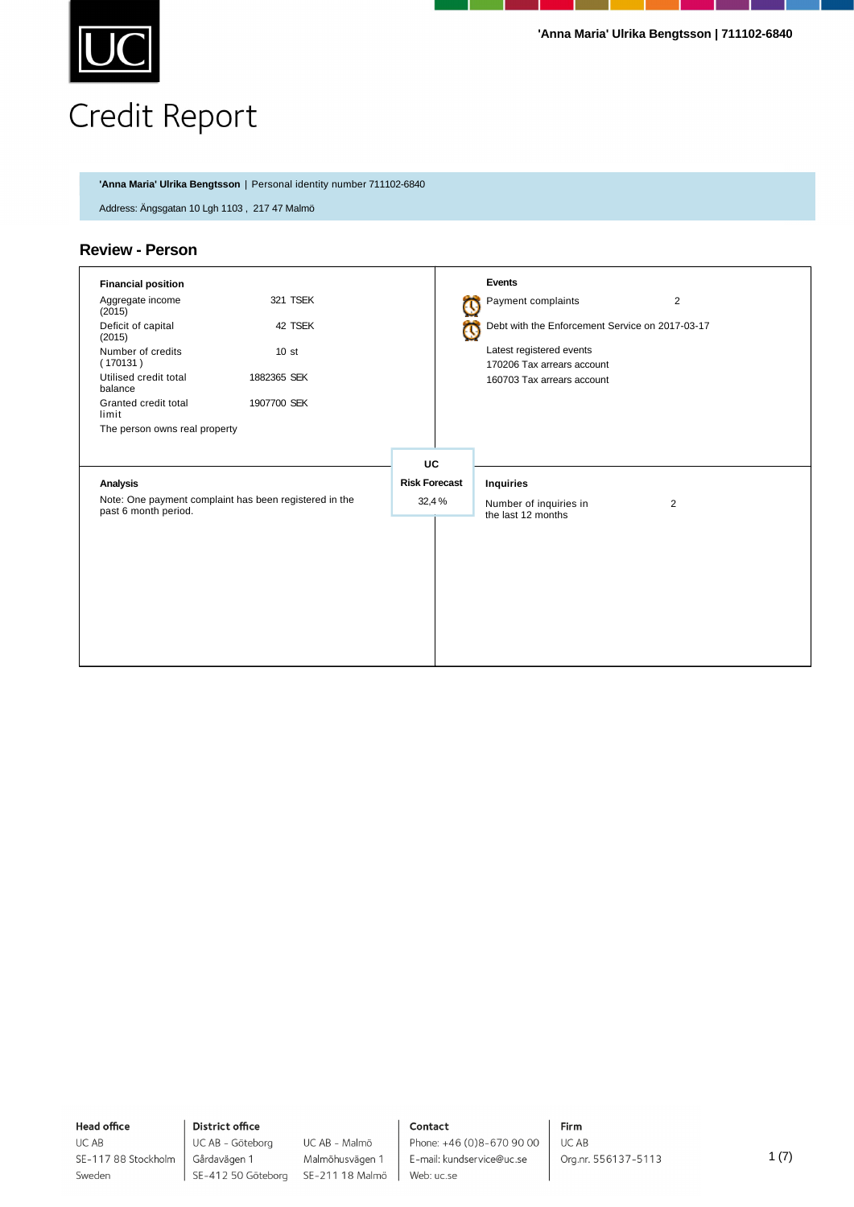

**'Anna Maria' Ulrika Bengtsson** | Personal identity number 711102-6840

Address: Ängsgatan 10 Lgh 1103 , 217 47 Malmö

### **Review - Person**

| <b>Financial position</b>                                                      |                  |                      |  | <b>Events</b>                                          |                |
|--------------------------------------------------------------------------------|------------------|----------------------|--|--------------------------------------------------------|----------------|
| Aggregate income<br>(2015)                                                     | 321 TSEK         |                      |  | Payment complaints                                     | $\overline{2}$ |
| Deficit of capital<br>(2015)                                                   | 42 TSEK          |                      |  | Debt with the Enforcement Service on 2017-03-17        |                |
| Number of credits<br>(170131)                                                  | 10 <sub>st</sub> |                      |  | Latest registered events<br>170206 Tax arrears account |                |
| Utilised credit total<br>balance                                               | 1882365 SEK      |                      |  | 160703 Tax arrears account                             |                |
| Granted credit total<br>limit                                                  | 1907700 SEK      |                      |  |                                                        |                |
| The person owns real property                                                  |                  |                      |  |                                                        |                |
|                                                                                |                  | UC                   |  |                                                        |                |
| <b>Analysis</b>                                                                |                  | <b>Risk Forecast</b> |  | <b>Inquiries</b>                                       |                |
| Note: One payment complaint has been registered in the<br>past 6 month period. |                  | 32,4%                |  | Number of inquiries in<br>the last 12 months           | $\overline{2}$ |
|                                                                                |                  |                      |  |                                                        |                |

**Head office** UC AB

Sweden

SE-117 88 Stockholm

UC AB - Göteborg UC AB - Malmö Malmöhusvägen 1 SE-412 50 Göteborg SE-211 18 Malmö

### Contact

Phone: +46 (0)8-670 90 00 E-mail: kundservice@uc.se Web: uc.se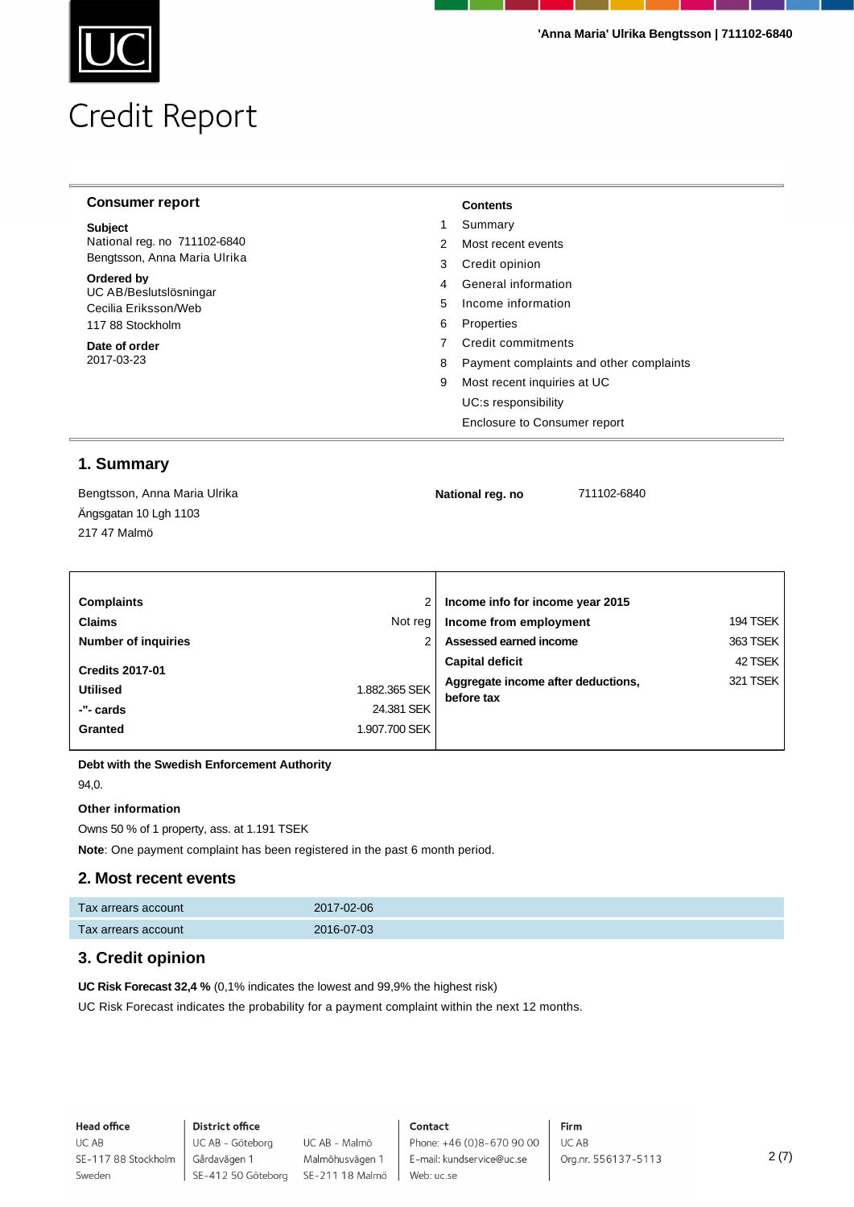| <b>Consumer report</b>               |            | <b>Contents</b>                         |
|--------------------------------------|------------|-----------------------------------------|
| <b>Subject</b>                       |            | Summary                                 |
| National reg. no 711102-6840         | 2          | Most recent events                      |
| Bengtsson, Anna Maria Ulrika         | 3          | Credit opinion                          |
| Ordered by<br>UC AB/Beslutslösningar | 4          | General information                     |
| Cecilia Eriksson/Web                 | 5.         | Income information                      |
| 6<br>117 88 Stockholm                | Properties |                                         |
| Date of order                        |            | Credit commitments                      |
| 2017-03-23                           | 8          | Payment complaints and other complaints |
|                                      | 9          | Most recent inquiries at UC             |
|                                      |            | UC:s responsibility                     |
|                                      |            | Enclosure to Consumer report            |

### **1. Summary**

| Bengtsson, Anna Maria Ulrika | National reg. no | 711102-6840 |  |
|------------------------------|------------------|-------------|--|
| Ängsgatan 10 Lgh 1103        |                  |             |  |
| 217 47 Malmö                 |                  |             |  |
|                              |                  |             |  |
|                              |                  |             |  |

| <b>Complaints</b>          |               | Income info for income year 2015                 |          |  |
|----------------------------|---------------|--------------------------------------------------|----------|--|
| <b>Claims</b>              | Not reg       | Income from employment                           | 194 TSEK |  |
| <b>Number of inquiries</b> |               | Assessed earned income                           | 363 TSEK |  |
| <b>Credits 2017-01</b>     |               | <b>Capital deficit</b>                           | 42 TSEK  |  |
| <b>Utilised</b>            | 1.882.365 SEK | Aggregate income after deductions,<br>before tax | 321 TSEK |  |
| -"- cards                  | 24.381 SEK    |                                                  |          |  |
| Granted                    | 1.907.700 SEK |                                                  |          |  |
|                            |               |                                                  |          |  |

**Debt with the Swedish Enforcement Authority**

94,0.

#### **Other information**

Owns 50 % of 1 property, ass. at 1.191 TSEK

**Note**: One payment complaint has been registered in the past 6 month period.

### **2. Most recent events**

| Tax arrears account | 2017-02-06 |
|---------------------|------------|
| Tax arrears account | 2016-07-03 |

### **3. Credit opinion**

**UC Risk Forecast 32,4 %** (0,1% indicates the lowest and 99,9% the highest risk)

UC Risk Forecast indicates the probability for a payment complaint within the next 12 months.

**Head office** UC AB SE-117 88 Stockholm Sweden

### **District office** UC AB - Göteborg Gårdavägen 1

UC AB - Malmö Malmöhusvägen 1 SE-412 50 Göteborg SE-211 18 Malmö

### Contact

Phone: +46 (0)8-670 90 00 E-mail: kundservice@uc.se Web: uc.se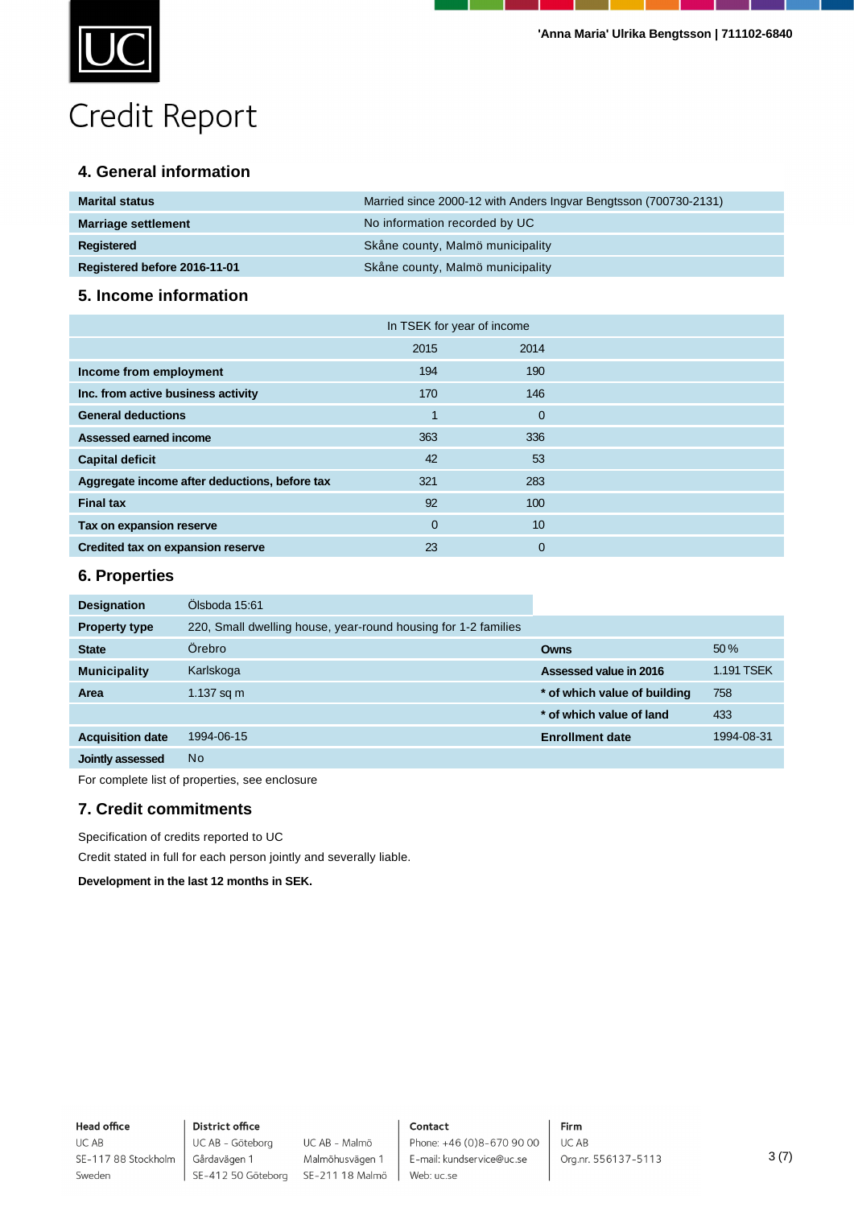

### **4. General information**

| <b>Marital status</b>        | Married since 2000-12 with Anders Ingvar Bengtsson (700730-2131) |
|------------------------------|------------------------------------------------------------------|
| <b>Marriage settlement</b>   | No information recorded by UC                                    |
| <b>Registered</b>            | Skåne county, Malmö municipality                                 |
| Registered before 2016-11-01 | Skåne county, Malmö municipality                                 |

### **5. Income information**

|                                               | In TSEK for year of income |             |  |
|-----------------------------------------------|----------------------------|-------------|--|
|                                               | 2015                       | 2014        |  |
| Income from employment                        | 194                        | 190         |  |
| Inc. from active business activity            | 170                        | 146         |  |
| <b>General deductions</b>                     |                            | $\Omega$    |  |
| Assessed earned income                        | 363                        | 336         |  |
| <b>Capital deficit</b>                        | 42                         | 53          |  |
| Aggregate income after deductions, before tax | 321                        | 283         |  |
| <b>Final tax</b>                              | 92                         | 100         |  |
| Tax on expansion reserve                      | $\Omega$                   | 10          |  |
| Credited tax on expansion reserve             | 23                         | $\mathbf 0$ |  |

### **6. Properties**

| Ölsboda 15:61                                                  |                              |            |
|----------------------------------------------------------------|------------------------------|------------|
| 220, Small dwelling house, year-round housing for 1-2 families |                              |            |
| Örebro                                                         | Owns                         | 50%        |
| Karlskoga                                                      | Assessed value in 2016       | 1.191 TSEK |
| 1.137 sq $m$                                                   | * of which value of building | 758        |
|                                                                | * of which value of land     | 433        |
| 1994-06-15                                                     | <b>Enrollment date</b>       | 1994-08-31 |
| N <sub>o</sub>                                                 |                              |            |
|                                                                |                              |            |

For complete list of properties, see enclosure

### **7. Credit commitments**

Specification of credits reported to UC

Credit stated in full for each person jointly and severally liable.

**Development in the last 12 months in SEK.**

#### **Head office** UC AB SE-117 88 Stockholm Sweden

### **District office** UC AB - Göteborg Gårdavägen 1

UC AB - Malmö Malmöhusvägen 1 SE-412 50 Göteborg SE-211 18 Malmö

### Contact

Phone: +46 (0)8-670 90 00 E-mail: kundservice@uc.se Web: uc.se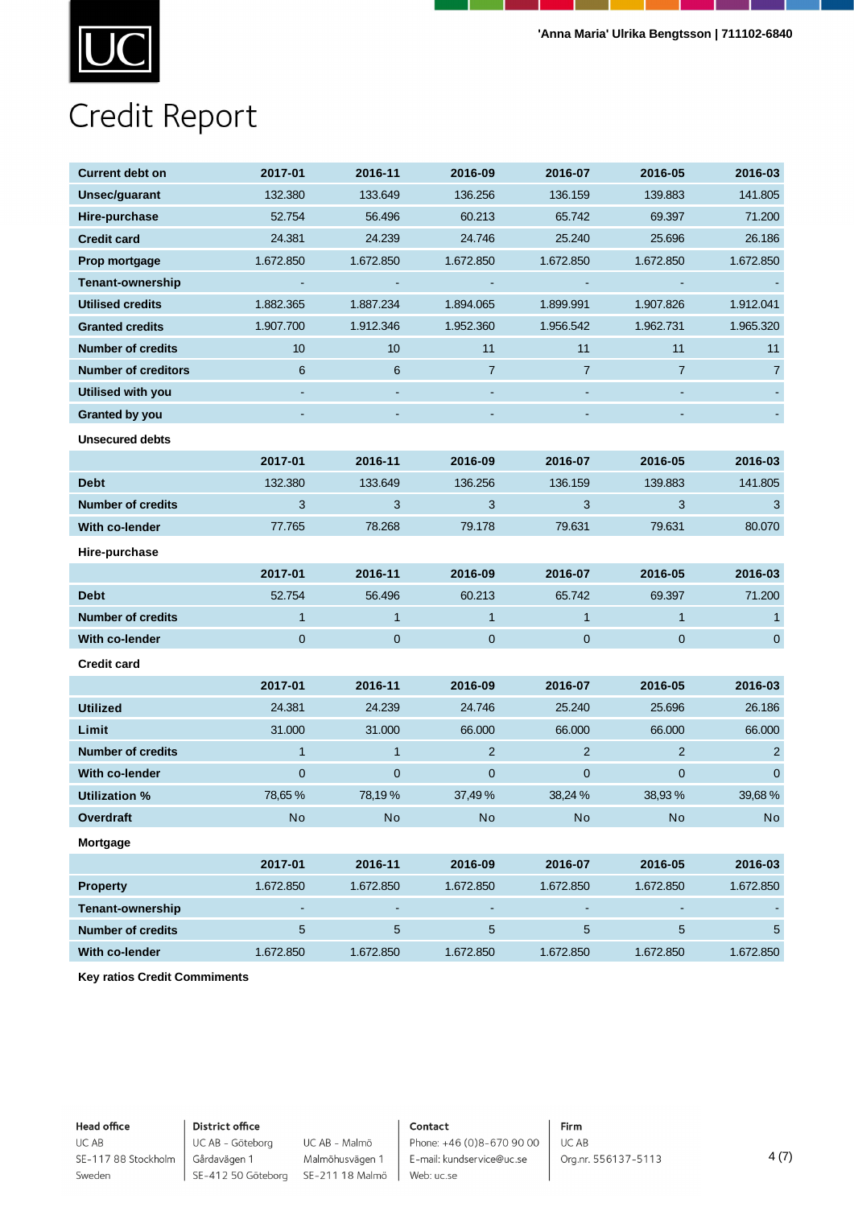

| <b>Current debt on</b>     | 2017-01                   | 2016-11        | 2016-09        | 2016-07        | 2016-05        | 2016-03        |
|----------------------------|---------------------------|----------------|----------------|----------------|----------------|----------------|
| Unsec/guarant              | 132.380                   | 133.649        | 136.256        | 136.159        | 139.883        | 141.805        |
| Hire-purchase              | 52.754                    | 56.496         | 60.213         | 65.742         | 69.397         | 71.200         |
| <b>Credit card</b>         | 24.381                    | 24.239         | 24.746         | 25.240         | 25.696         | 26.186         |
| Prop mortgage              | 1.672.850                 | 1.672.850      | 1.672.850      | 1.672.850      | 1.672.850      | 1.672.850      |
| <b>Tenant-ownership</b>    | $\blacksquare$            | $\blacksquare$ | $\blacksquare$ | $\blacksquare$ | $\blacksquare$ |                |
| <b>Utilised credits</b>    | 1.882.365                 | 1.887.234      | 1.894.065      | 1.899.991      | 1.907.826      | 1.912.041      |
| <b>Granted credits</b>     | 1.907.700                 | 1.912.346      | 1.952.360      | 1.956.542      | 1.962.731      | 1.965.320      |
| <b>Number of credits</b>   | $10$                      | $10$           | 11             | 11             | 11             | 11             |
| <b>Number of creditors</b> | $6\phantom{.}6$           | $\,6\,$        | $\overline{7}$ | $\overline{7}$ | $\overline{7}$ | 7              |
| Utilised with you          |                           | $\sim$         |                |                |                |                |
| Granted by you             |                           |                |                |                |                |                |
| <b>Unsecured debts</b>     |                           |                |                |                |                |                |
|                            | 2017-01                   | 2016-11        | 2016-09        | 2016-07        | 2016-05        | 2016-03        |
| <b>Debt</b>                | 132.380                   | 133.649        | 136.256        | 136.159        | 139.883        | 141.805        |
| <b>Number of credits</b>   | $\ensuremath{\mathsf{3}}$ | $\sqrt{3}$     | $\mathbf{3}$   | $\mathbf{3}$   | $\mathbf{3}$   | $\sqrt{3}$     |
| With co-lender             | 77.765                    | 78.268         | 79.178         | 79.631         | 79.631         | 80.070         |
| Hire-purchase              |                           |                |                |                |                |                |
|                            | 2017-01                   | 2016-11        | 2016-09        | 2016-07        | 2016-05        | 2016-03        |
| <b>Debt</b>                | 52.754                    | 56.496         | 60.213         | 65.742         | 69.397         | 71.200         |
| <b>Number of credits</b>   | $\mathbf{1}$              | $\mathbf{1}$   | $\mathbf{1}$   | $\overline{1}$ | $\mathbf{1}$   | $\mathbf{1}$   |
| With co-lender             | $\mathbf 0$               | $\pmb{0}$      | $\pmb{0}$      | $\mathbf 0$    | $\pmb{0}$      | $\overline{0}$ |
|                            |                           |                |                |                |                |                |
| <b>Credit card</b>         |                           |                |                |                |                |                |
|                            | 2017-01                   | 2016-11        | 2016-09        | 2016-07        | 2016-05        | 2016-03        |
| <b>Utilized</b>            | 24.381                    | 24.239         | 24.746         | 25.240         | 25.696         | 26.186         |
| Limit                      | 31.000                    | 31.000         | 66.000         | 66.000         | 66.000         | 66.000         |
| <b>Number of credits</b>   | $\mathbf{1}$              | $\mathbf{1}$   | $\overline{2}$ | $\overline{2}$ | $\overline{2}$ | $\overline{2}$ |
| With co-lender             | $\pmb{0}$                 | $\mathbf 0$    | $\mathbf 0$    | $\mathbf{0}$   | $\pmb{0}$      | $\mathbf{0}$   |
| <b>Utilization %</b>       | 78,65%                    | 78,19%         | 37,49%         | 38,24 %        | 38,93%         | 39,68%         |
| Overdraft                  | <b>No</b>                 | $\mathsf{No}$  | No             | No             | No             | No             |
| Mortgage                   |                           |                |                |                |                |                |
|                            | 2017-01                   | 2016-11        | 2016-09        | 2016-07        | 2016-05        | 2016-03        |
| <b>Property</b>            | 1.672.850                 | 1.672.850      | 1.672.850      | 1.672.850      | 1.672.850      | 1.672.850      |
| Tenant-ownership           | $\sim$                    | $\blacksquare$ | $\blacksquare$ | $\sim$         | $\blacksquare$ |                |
| <b>Number of credits</b>   | $\overline{5}$            | $\sqrt{5}$     | $\sqrt{5}$     | $\sqrt{5}$     | $\sqrt{5}$     | $\overline{5}$ |
| With co-lender             | 1.672.850                 | 1.672.850      | 1.672.850      | 1.672.850      | 1.672.850      | 1.672.850      |

**Key ratios Credit Commiments**

**Head office** UC AB

Sweden

SE-117 88 Stockholm

### **District office**

UC AB - Göteborg UC AB - Malmö Gårdavägen 1 SE-412 50 Göteborg SE-211 18 Malmö

Malmöhusvägen 1

### Contact

Phone: +46 (0)8-670 90 00 E-mail: kundservice@uc.se Web: uc.se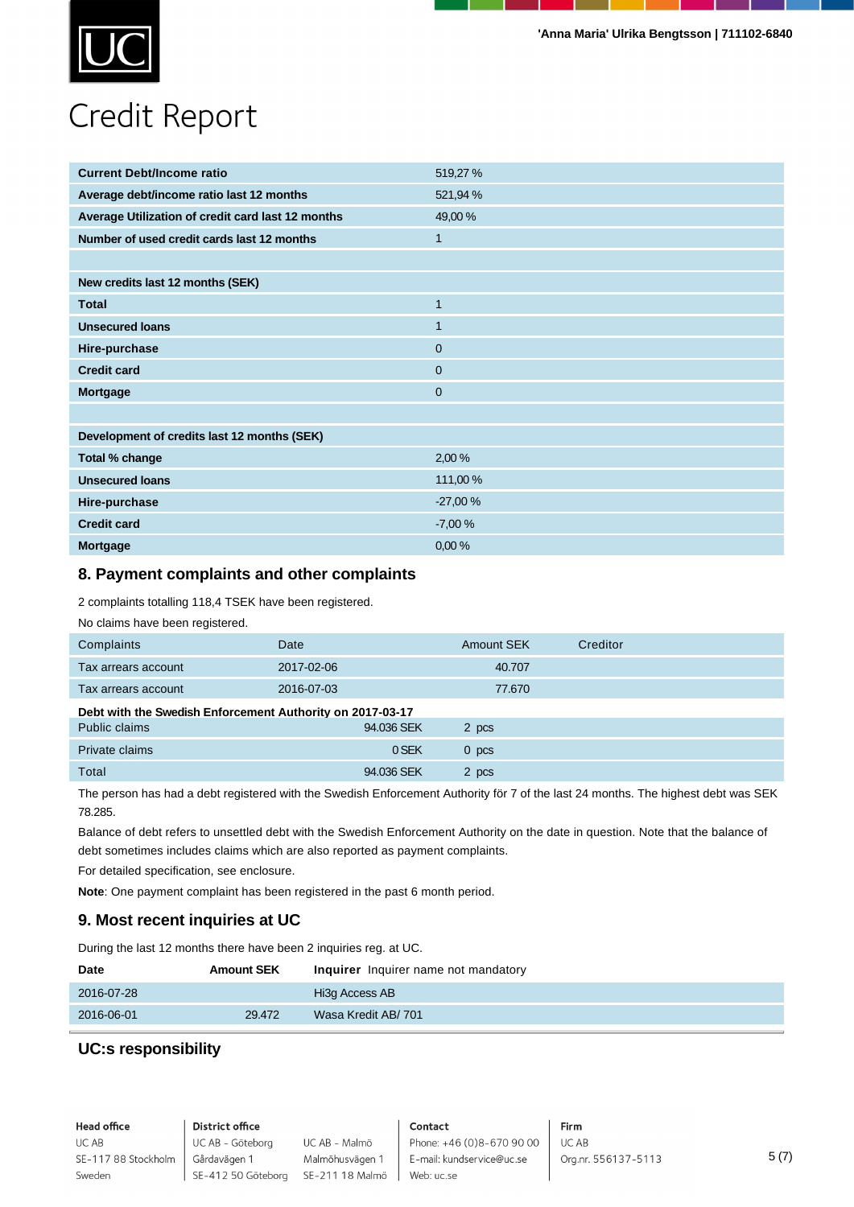

| <b>Current Debt/Income ratio</b>                  | 519,27%      |
|---------------------------------------------------|--------------|
| Average debt/income ratio last 12 months          | 521,94 %     |
| Average Utilization of credit card last 12 months | 49,00 %      |
| Number of used credit cards last 12 months        | $\mathbf{1}$ |
|                                                   |              |
| New credits last 12 months (SEK)                  |              |
| <b>Total</b>                                      | $\mathbf{1}$ |
| <b>Unsecured loans</b>                            | $\mathbf{1}$ |
| Hire-purchase                                     | $\mathbf{0}$ |
| <b>Credit card</b>                                | $\mathbf{0}$ |
| Mortgage                                          | $\mathbf 0$  |
|                                                   |              |
| Development of credits last 12 months (SEK)       |              |
| Total % change                                    | 2,00%        |
| <b>Unsecured loans</b>                            | 111,00 %     |
| Hire-purchase                                     | $-27,00%$    |
| <b>Credit card</b>                                | $-7,00%$     |
| <b>Mortgage</b>                                   | 0,00%        |

### **8. Payment complaints and other complaints**

2 complaints totalling 118,4 TSEK have been registered.

No claims have been registered.

| Complaints                                                | Date       | Amount SEK       | Creditor |  |  |  |
|-----------------------------------------------------------|------------|------------------|----------|--|--|--|
| Tax arrears account                                       | 2017-02-06 | 40.707           |          |  |  |  |
| Tax arrears account                                       | 2016-07-03 | 77.670           |          |  |  |  |
| Debt with the Swedish Enforcement Authority on 2017-03-17 |            |                  |          |  |  |  |
| Public claims                                             | 94.036 SEK | 2 pcs            |          |  |  |  |
| Private claims                                            | 0 SEK      | 0 <sub>pcs</sub> |          |  |  |  |
| Total                                                     | 94.036 SEK | 2 pcs            |          |  |  |  |

The person has had a debt registered with the Swedish Enforcement Authority för 7 of the last 24 months. The highest debt was SEK 78.285.

Balance of debt refers to unsettled debt with the Swedish Enforcement Authority on the date in question. Note that the balance of debt sometimes includes claims which are also reported as payment complaints.

For detailed specification, see enclosure.

**Note**: One payment complaint has been registered in the past 6 month period.

### **9. Most recent inquiries at UC**

During the last 12 months there have been 2 inquiries reg. at UC.

| <b>Date</b> | <b>Amount SEK</b> | Inquirer Inquirer name not mandatory |
|-------------|-------------------|--------------------------------------|
| 2016-07-28  |                   | Hi3g Access AB                       |
| 2016-06-01  | 29.472            | Wasa Kredit AB/ 701                  |

### **UC:s responsibility**

**Head office** UC AB SE-117 88 Stockholm Sweden

**District office** UC AB - Göteborg UC AB - Malmö Gårdavägen 1

Malmöhusvägen 1 SE-412 50 Göteborg SE-211 18 Malmö

Web: uc.se

Firm Phone: +46 (0)8-670 90 00 UC AB E-mail: kundservice@uc.se

Org.nr. 556137-5113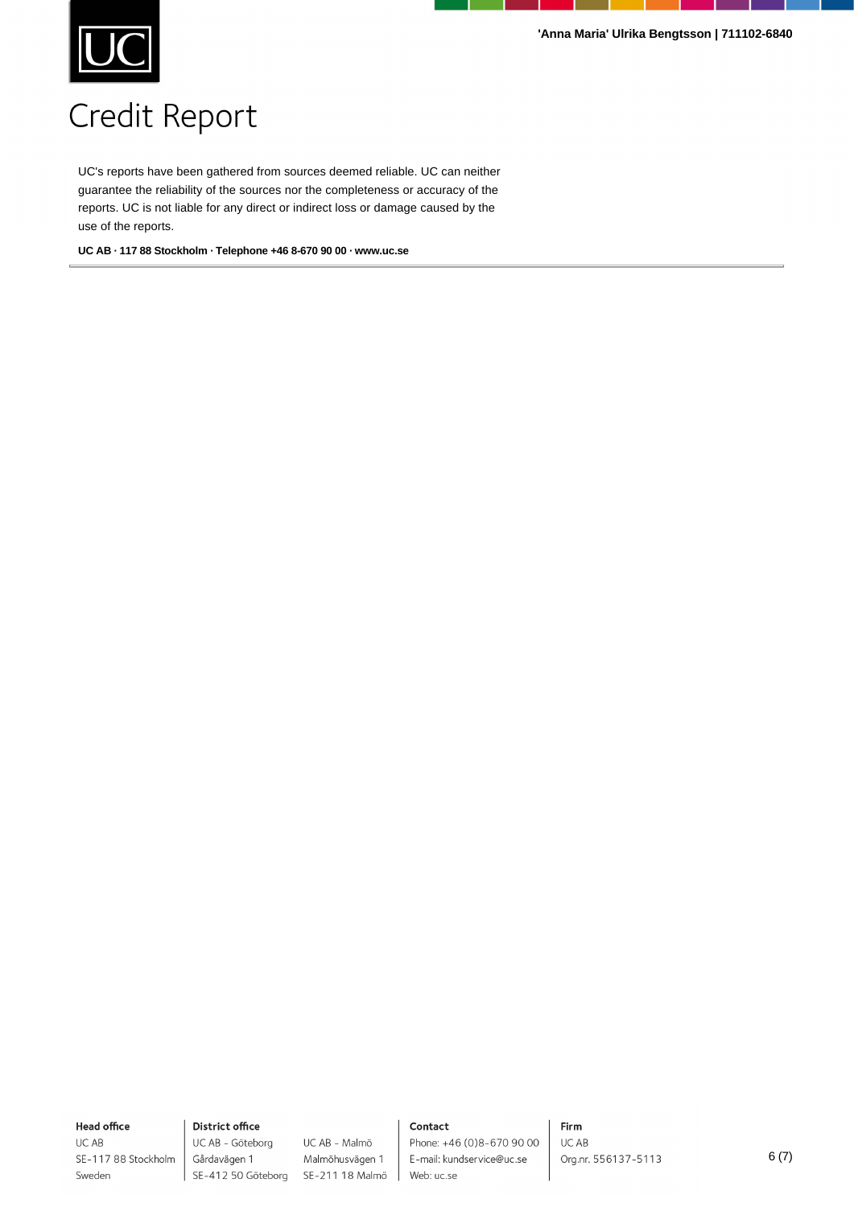

UC's reports have been gathered from sources deemed reliable. UC can neither guarantee the reliability of the sources nor the completeness or accuracy of the reports. UC is not liable for any direct or indirect loss or damage caused by the use of the reports.

**UC AB · 117 88 Stockholm · Telephone +46 8-670 90 00 · www.uc.se**

**Head office** UC AB

Sweden

SE-117 88 Stockholm

**District office** UC AB - Göteborg Gårdavägen 1

UC AB - Malmö Malmöhusvägen 1 SE-412 50 Göteborg SE-211 18 Malmö

### Contact

Phone: +46 (0)8-670 90 00 E-mail: kundservice@uc.se Web: uc.se

Firm UC AB Org.nr. 556137-5113

6 (7)